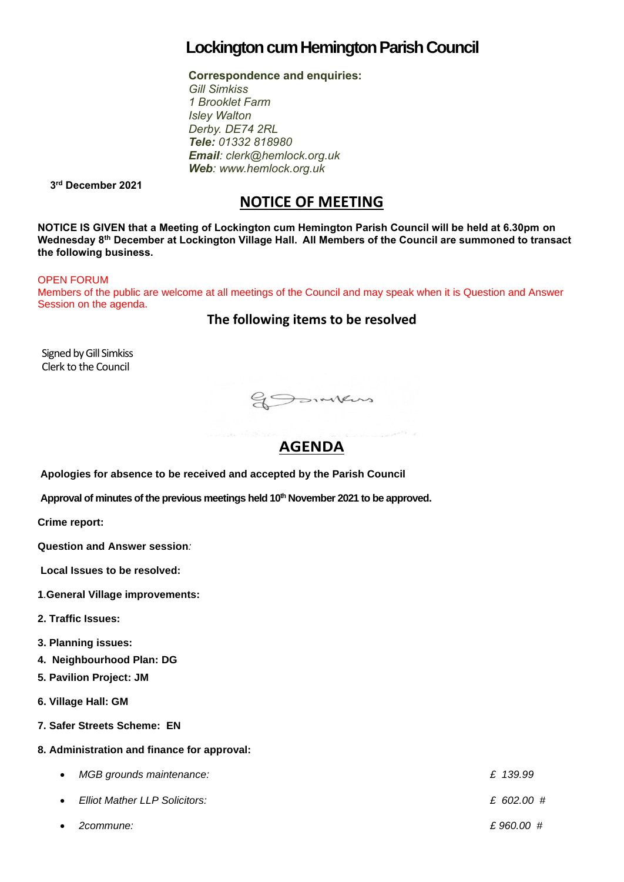# **Lockington cumHemington Parish Council**

**Correspondence and enquiries:** 

*Gill Simkiss 1 Brooklet Farm Isley Walton Derby. DE74 2RL Tele: 01332 818980 Email: clerk@hemlock.org.uk Web: www.hemlock.org.uk*

 **3 rd December 2021**

# **NOTICE OF MEETING**

**NOTICE IS GIVEN that a Meeting of Lockington cum Hemington Parish Council will be held at 6.30pm on Wednesday 8 th December at Lockington Village Hall. All Members of the Council are summoned to transact the following business.**

#### OPEN FORUM

Members of the public are welcome at all meetings of the Council and may speak when it is Question and Answer Session on the agenda.

**The following items to be resolved**

Signed by Gill Simkiss Clerk to the Council

gSomkers

# **AGENDA**

**Constitution of the original** 

**Apologies for absence to be received and accepted by the Parish Council**

**Approval of minutes of the previous meetings held 10 th November 2021 to be approved.**

**Crime report:** 

**Question and Answer session***:*

**Local Issues to be resolved:**

- **1**.**General Village improvements:**
- **2. Traffic Issues:**

**3. Planning issues:**

- **4. Neighbourhood Plan: DG**
- **5. Pavilion Project: JM**
- **6. Village Hall: GM**
- **7. Safer Streets Scheme: EN**

#### **8. Administration and finance for approval:**

- *MGB grounds maintenance: £ 139.99*
- *Elliot Mather LLP Solicitors: £ 602.00 #*
- *2commune: £ 960.00 #*